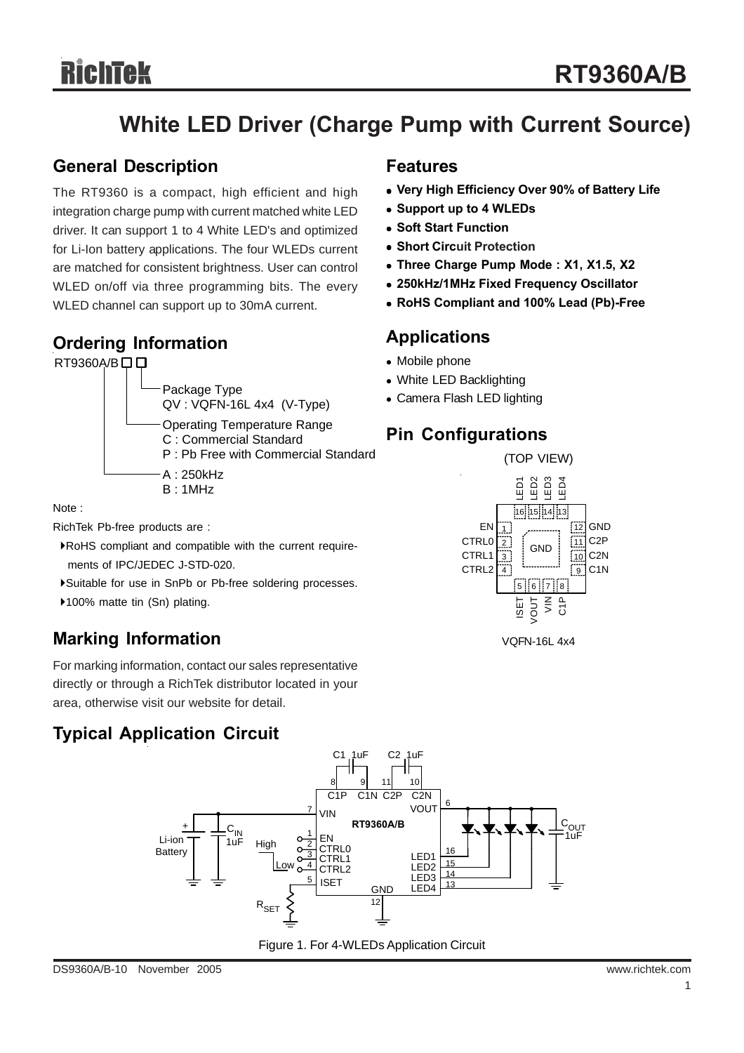# RichTek

## **White LED Driver (Charge Pump with Current Source)**

### **General Description**

The RT9360 is a compact, high efficient and high integration charge pump with current matched white LED driver. It can support 1 to 4 White LED's and optimized for Li-Ion battery applications. The four WLEDs current are matched for consistent brightness. User can control WLED on/off via three programming bits. The every WLED channel can support up to 30mA current.

### **Ordering Information**

RT9360A/B口口



Note :

RichTek Pb-free products are :

- `RoHS compliant and compatible with the current require ments of IPC/JEDEC J-STD-020.
- `Suitable for use in SnPb or Pb-free soldering processes.
- ▶100% matte tin (Sn) plating.

### **Marking Information** VQFN-16L 4x4

For marking information, contact our sales representative directly or through a RichTek distributor located in your area, otherwise visit our website for detail.

## **Typical Application Circuit**



Figure 1. For 4-WLEDs Application Circuit

### **Features**

- Very High Efficiency Over 90% of Battery Life
- <sup>z</sup> **Support up to 4 WLEDs**
- **Soft Start Function**
- $\bullet$  **Short Circuit Protection**
- Three Charge Pump Mode : X1, X1.5, X2
- <sup>z</sup> **250kHz/1MHz Fixed Frequency Oscillator**
- <sup>z</sup> **RoHS Compliant and 100% Lead (Pb)-Free**

### **Applications**

- Mobile phone
- White LED Backlighting
- Camera Flash LED lighting

### **Pin Configurations**

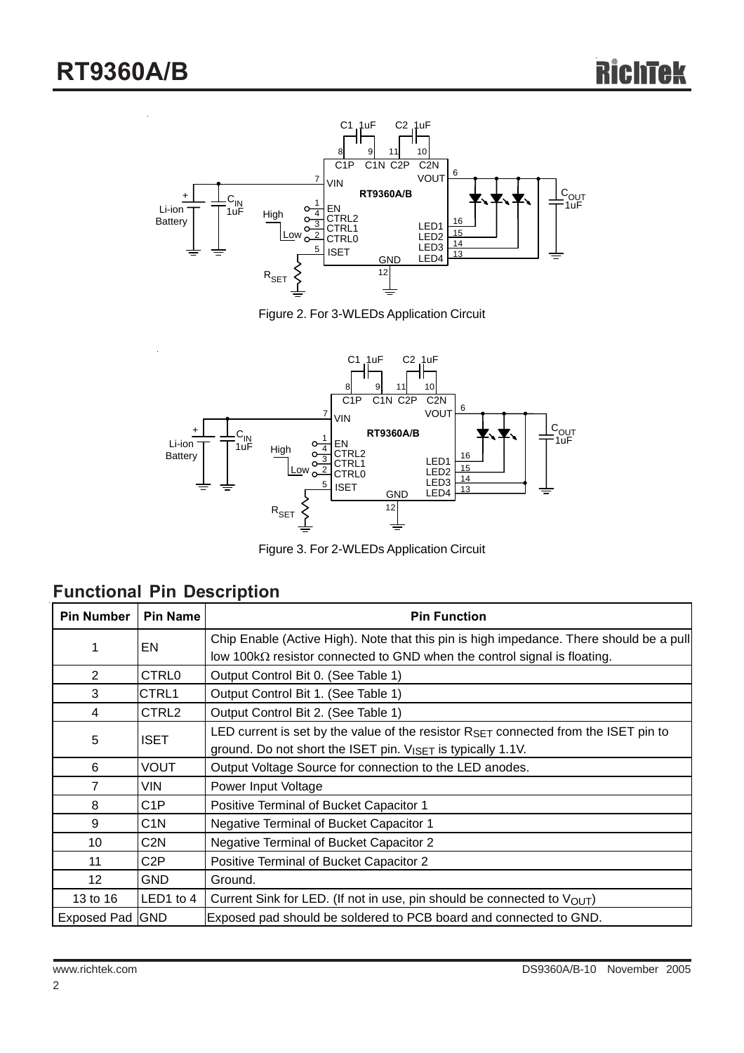

Figure 2. For 3-WLEDs Application Circuit



Figure 3. For 2-WLEDs Application Circuit

### **Functional Pin Description**

| <b>Pin Number</b> | <b>Pin Name</b>   | <b>Pin Function</b>                                                                             |  |  |  |
|-------------------|-------------------|-------------------------------------------------------------------------------------------------|--|--|--|
|                   |                   | Chip Enable (Active High). Note that this pin is high impedance. There should be a pull         |  |  |  |
|                   | EN                | low 100 $k\Omega$ resistor connected to GND when the control signal is floating.                |  |  |  |
| $\overline{2}$    | <b>CTRL0</b>      | Output Control Bit 0. (See Table 1)                                                             |  |  |  |
| 3                 | CTRL1             | Output Control Bit 1. (See Table 1)                                                             |  |  |  |
| 4                 | CTRL <sub>2</sub> | Output Control Bit 2. (See Table 1)                                                             |  |  |  |
|                   |                   | LED current is set by the value of the resistor $R_{\text{SET}}$ connected from the ISET pin to |  |  |  |
| 5                 | <b>ISET</b>       | ground. Do not short the ISET pin. V <sub>ISET</sub> is typically 1.1V.                         |  |  |  |
| 6                 | VOUT              | Output Voltage Source for connection to the LED anodes.                                         |  |  |  |
| $\overline{7}$    | VIN               | Power Input Voltage                                                                             |  |  |  |
| 8                 | C1P               | Positive Terminal of Bucket Capacitor 1                                                         |  |  |  |
| 9                 | C1N               | Negative Terminal of Bucket Capacitor 1                                                         |  |  |  |
| 10                | C <sub>2</sub> N  | <b>Negative Terminal of Bucket Capacitor 2</b>                                                  |  |  |  |
| 11                | C2P               | Positive Terminal of Bucket Capacitor 2                                                         |  |  |  |
| 12 <sup>2</sup>   | GND.              | Ground.                                                                                         |  |  |  |
| 13 to 16          | LED1 to 4         | Current Sink for LED. (If not in use, pin should be connected to $V_{\text{OUT}}$ )             |  |  |  |
| Exposed Pad GND   |                   | Exposed pad should be soldered to PCB board and connected to GND.                               |  |  |  |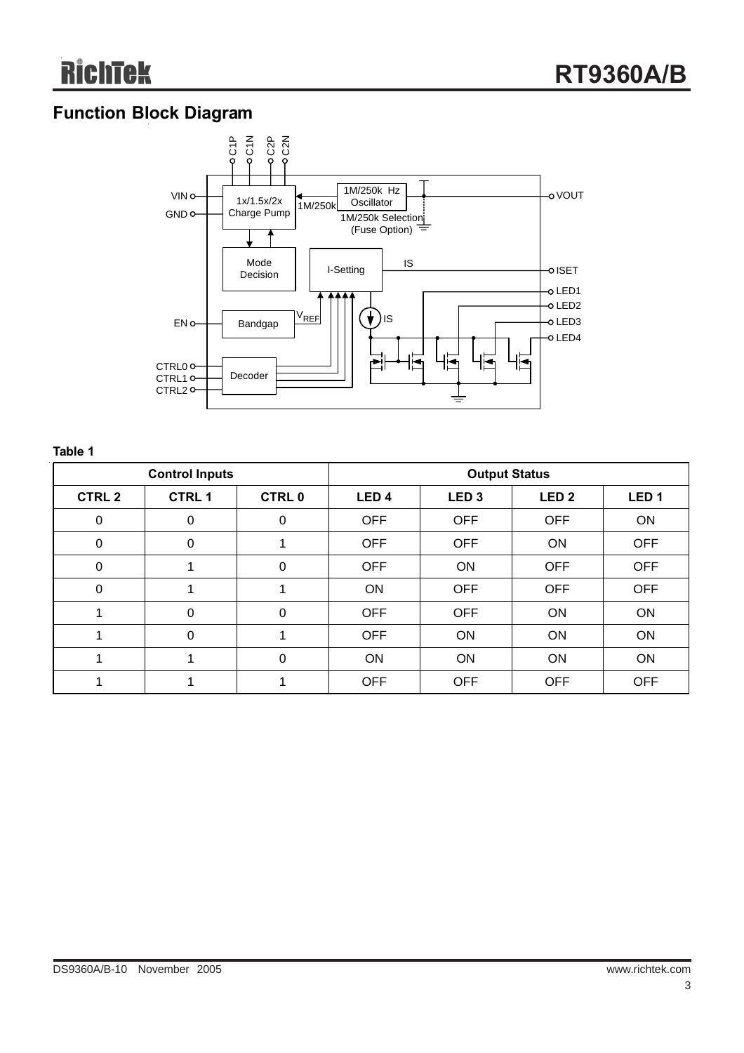### **Function Block Diagram**



#### **Table 1**

| <b>Control Inputs</b> |                  |               | <b>Output Status</b> |                  |                  |                  |
|-----------------------|------------------|---------------|----------------------|------------------|------------------|------------------|
| <b>CTRL 2</b>         | <b>CTRL1</b>     | <b>CTRL 0</b> | LED <sub>4</sub>     | LED <sub>3</sub> | LED <sub>2</sub> | LED <sub>1</sub> |
| 0                     | 0                | $\mathbf 0$   | <b>OFF</b>           | <b>OFF</b>       | <b>OFF</b>       | ON               |
| 0                     | $\boldsymbol{0}$ |               | <b>OFF</b>           | <b>OFF</b>       | <b>ON</b>        | <b>OFF</b>       |
| 0                     |                  | 0             | <b>OFF</b>           | ON               | <b>OFF</b>       | <b>OFF</b>       |
| $\Omega$              |                  |               | ON                   | <b>OFF</b>       | <b>OFF</b>       | <b>OFF</b>       |
|                       | 0                | $\mathbf 0$   | <b>OFF</b>           | <b>OFF</b>       | ON               | ON               |
|                       | $\boldsymbol{0}$ |               | <b>OFF</b>           | ON               | ON               | ON               |
|                       |                  | $\Omega$      | ON                   | <b>ON</b>        | <b>ON</b>        | ON               |
|                       |                  |               | <b>OFF</b>           | <b>OFF</b>       | <b>OFF</b>       | <b>OFF</b>       |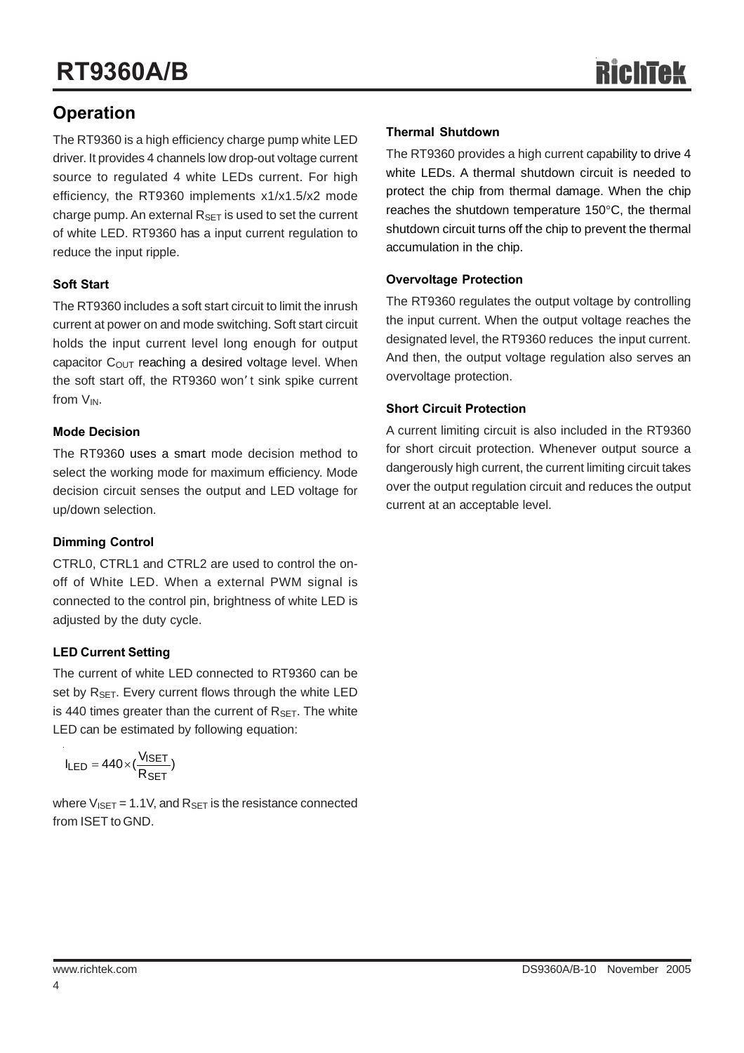### **Operation**

The RT9360 is a high efficiency charge pump white LED driver. It provides 4 channels low drop-out voltage current source to regulated 4 white LEDs current. For high efficiency, the RT9360 implements x1/x1.5/x2 mode charge pump. An external  $R_{\text{SET}}$  is used to set the current of white LED. RT9360 has a input current regulation to reduce the input ripple.

#### **Soft Start**

The RT9360 includes a soft start circuit to limit the inrush current at power on and mode switching. Soft start circuit holds the input current level long enough for output capacitor  $C<sub>OUT</sub>$  reaching a desired voltage level. When the soft start off, the RT9360 won' t sink spike current from  $V_{IN}$ .

#### **Mode Decision**

The RT9360 uses a smart mode decision method to select the working mode for maximum efficiency. Mode decision circuit senses the output and LED voltage for up/down selection.

### **Dimming Control**

CTRL0, CTRL1 and CTRL2 are used to control the onoff of White LED. When a external PWM signal is connected to the control pin, brightness of white LED is adjusted by the duty cycle.

### **LED Current Setting**

The current of white LED connected to RT9360 can be set by R<sub>SET</sub>. Every current flows through the white LED is 440 times greater than the current of  $R_{\text{SET}}$ . The white LED can be estimated by following equation:

$$
I_{LED} = 440 \times (\frac{V_{ISET}}{R_{SET}})
$$

where  $V_{ISET} = 1.1V$ , and  $R_{SET}$  is the resistance connected from ISET to GND.

#### **Thermal Shutdown**

The RT9360 provides a high current capability to drive 4 white LEDs. A thermal shutdown circuit is needed to protect the chip from thermal damage. When the chip reaches the shutdown temperature 150°C, the thermal shutdown circuit turns off the chip to prevent the thermal accumulation in the chip.

#### **Overvoltage Protection**

The RT9360 regulates the output voltage by controlling the input current. When the output voltage reaches the designated level, the RT9360 reduces the input current. And then, the output voltage regulation also serves an overvoltage protection.

#### **Short Circuit Protection**

A current limiting circuit is also included in the RT9360 for short circuit protection. Whenever output source a dangerously high current, the current limiting circuit takes over the output regulation circuit and reduces the output current at an acceptable level.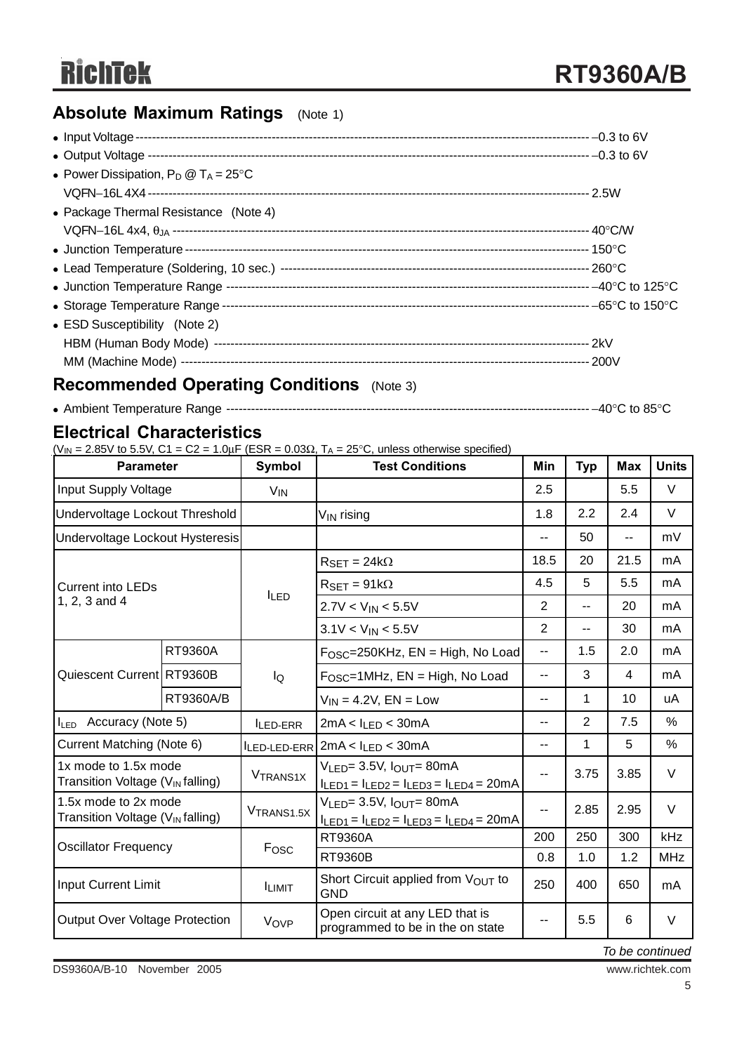### **Absolute Maximum Ratings** (Note 1)

| • Power Dissipation, $P_D @ T_A = 25^{\circ}C$ |  |
|------------------------------------------------|--|
|                                                |  |
| • Package Thermal Resistance (Note 4)          |  |
|                                                |  |
|                                                |  |
|                                                |  |
| • Junction Temperature Range                   |  |
|                                                |  |
| • ESD Susceptibility (Note 2)                  |  |
|                                                |  |
|                                                |  |
|                                                |  |

### **Recommended Operating Conditions** (Note 3)

<sup>z</sup> Ambient Temperature Range ---------------------------------------------------------------------------------------- −40°C to 85°C

### **Electrical Characteristics**

 $(V_{IN} = 2.85V$  to 5.5V, C1 = C2 = 1.0µF (ESR = 0.03 $\Omega$ , T<sub>A</sub> = 25°C, unless otherwise specified)

| <b>Parameter</b>                                                     |                | <b>Symbol</b>         | <b>Test Conditions</b>                                                              |                | <b>Typ</b>     | <b>Max</b> | <b>Units</b> |
|----------------------------------------------------------------------|----------------|-----------------------|-------------------------------------------------------------------------------------|----------------|----------------|------------|--------------|
| Input Supply Voltage                                                 |                | <b>V<sub>IN</sub></b> |                                                                                     | 2.5            |                | 5.5        | $\vee$       |
| Undervoltage Lockout Threshold                                       |                |                       | V <sub>IN</sub> rising                                                              | 1.8            | 2.2            | 2.4        | V            |
| Undervoltage Lockout Hysteresis                                      |                |                       |                                                                                     | --             | 50             | --         | mV           |
|                                                                      |                |                       | $R_{\text{SET}} = 24k\Omega$                                                        | 18.5           | 20             | 21.5       | mA           |
| <b>Current into LEDs</b>                                             |                |                       | $R_{\text{SET}} = 91k\Omega$                                                        | 4.5            | 5              | 5.5        | mA           |
| 1, 2, 3 and 4                                                        |                | <b>ILED</b>           | $2.7V < V_{IN} < 5.5V$                                                              | $\overline{2}$ | $-$            | 20         | mA           |
|                                                                      |                |                       | $3.1V < V_{IN} < 5.5V$                                                              | $\overline{2}$ | --             | 30         | mA           |
|                                                                      | <b>RT9360A</b> |                       | $FOSC=250KHz$ , EN = High, No Load                                                  | $\overline{a}$ | 1.5            | 2.0        | mA           |
| Quiescent Current RT9360B                                            |                | lQ                    | $FOSC=1MHz$ , $EN = High$ , No Load                                                 |                | 3              | 4          | mA           |
|                                                                      | RT9360A/B      |                       | $V_{IN} = 4.2V$ , EN = Low                                                          | --             | 1              | 10         | uA           |
| I <sub>LED</sub> Accuracy (Note 5)                                   |                | LED-ERR               | $2mA < I_{LED} < 30mA$                                                              | --             | $\overline{2}$ | 7.5        | $\%$         |
| Current Matching (Note 6)                                            |                | ILED-LED-ERR          | $2mA < I_{LED} < 30mA$                                                              | --             | 1              | 5          | %            |
| 1x mode to 1.5x mode<br>Transition Voltage (V <sub>IN</sub> falling) |                | V <sub>TRANS1X</sub>  | $V_{LED} = 3.5V, IOUT = 80mA$<br>$I_{LED1} = I_{LED2} = I_{LED3} = I_{LED4} = 20mA$ | --             | 3.75           | 3.85       | $\vee$       |
| 1.5x mode to 2x mode<br>Transition Voltage (V <sub>IN</sub> falling) |                | VTRANS1.5X            | $V_{LED} = 3.5V, IOUT = 80mA$<br>$I_{LED1} = I_{LED2} = I_{LED3} = I_{LED4} = 20mA$ | --             | 2.85           | 2.95       | $\vee$       |
| <b>Oscillator Frequency</b>                                          |                | Fosc                  | RT9360A                                                                             | 200            | 250            | 300        | kHz          |
|                                                                      |                |                       | <b>RT9360B</b>                                                                      | 0.8            | 1.0            | 1.2        | <b>MHz</b>   |
| <b>Input Current Limit</b>                                           |                | <b>ILIMIT</b>         | Short Circuit applied from V <sub>OUT</sub> to<br><b>GND</b>                        | 250            | 400            | 650        | mA           |
| <b>Output Over Voltage Protection</b>                                |                | VOVP                  | Open circuit at any LED that is<br>programmed to be in the on state                 | --             | 5.5            | 6          | V            |

*To be continued*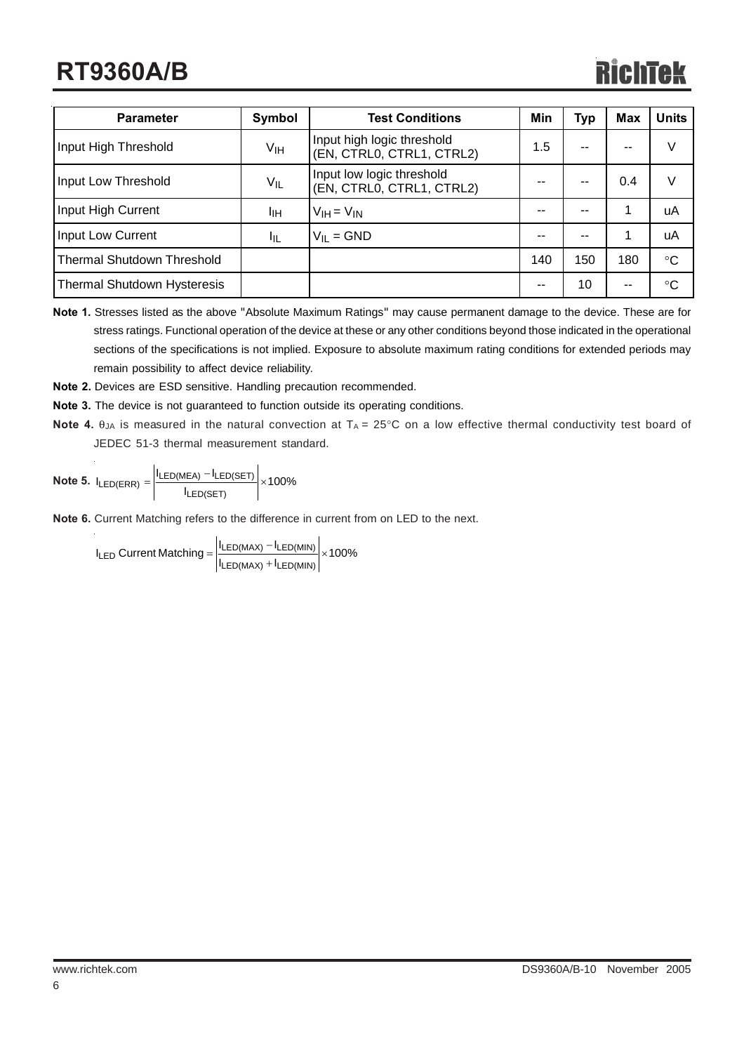## **RT9360A/B**

## Rich

| Symbol<br><b>Test Conditions</b><br><b>Parameter</b> |                 | Min                                                     | Typ   | <b>Max</b> | <b>Units</b> |                 |
|------------------------------------------------------|-----------------|---------------------------------------------------------|-------|------------|--------------|-----------------|
| Input High Threshold                                 | V <sub>IH</sub> | Input high logic threshold<br>(EN, CTRL0, CTRL1, CTRL2) | 1.5   | $- -$      |              | V               |
| Input Low Threshold                                  | VIL             | Input low logic threshold<br>(EN, CTRLO, CTRL1, CTRL2)  |       | --         | 0.4          | V               |
| Input High Current                                   | IІH             | $V_{IH} = V_{IN}$                                       |       |            |              | uA              |
| Input Low Current                                    | ĪЩ              | $V_{II} = GND$                                          |       | --         |              | uA              |
| <b>Thermal Shutdown Threshold</b>                    |                 |                                                         | 140   | 150        | 180          | $\rm ^{\circ}C$ |
| Thermal Shutdown Hysteresis                          |                 |                                                         | $- -$ | 10         | --           | $^{\circ}C$     |

**Note 1.** Stresses listed as the above "Absolute Maximum Ratings" may cause permanent damage to the device. These are for stress ratings. Functional operation of the device at these or any other conditions beyond those indicated in the operational sections of the specifications is not implied. Exposure to absolute maximum rating conditions for extended periods may remain possibility to affect device reliability.

- **Note 2.** Devices are ESD sensitive. Handling precaution recommended.
- **Note 3.** The device is not guaranteed to function outside its operating conditions.
- **Note 4.**  $\theta_{JA}$  is measured in the natural convection at  $T_A = 25^\circ \text{C}$  on a low effective thermal conductivity test board of JEDEC 51-3 thermal measurement standard.

$$
\text{Note 5. } I_{LED(ERR)} = \left| \frac{I_{LED(MEA)} - I_{LED(SET)}}{I_{LED(SET)}} \right| \times 100\%
$$

**Note 6.** Current Matching refers to the difference in current from on LED to the next.

 $\frac{1}{1}$ EED(MAX)  $+ \frac{1}{1}$ EED(MIN)  $\times 100\%$  $I_{LED}$  Current Matching  $=$   $\frac{|I_{LED(MAX)} - I|}{|I_{LED(MAX)}|}$ LED(MAX) + ILED(MIN) LED Current Matching =  $\frac{\left|I_{LED(MAX)} - I_{LED(MIN)} \right|}{\left|I_{LED(MAX)} + I_{LED(MIN)} \right|} \times$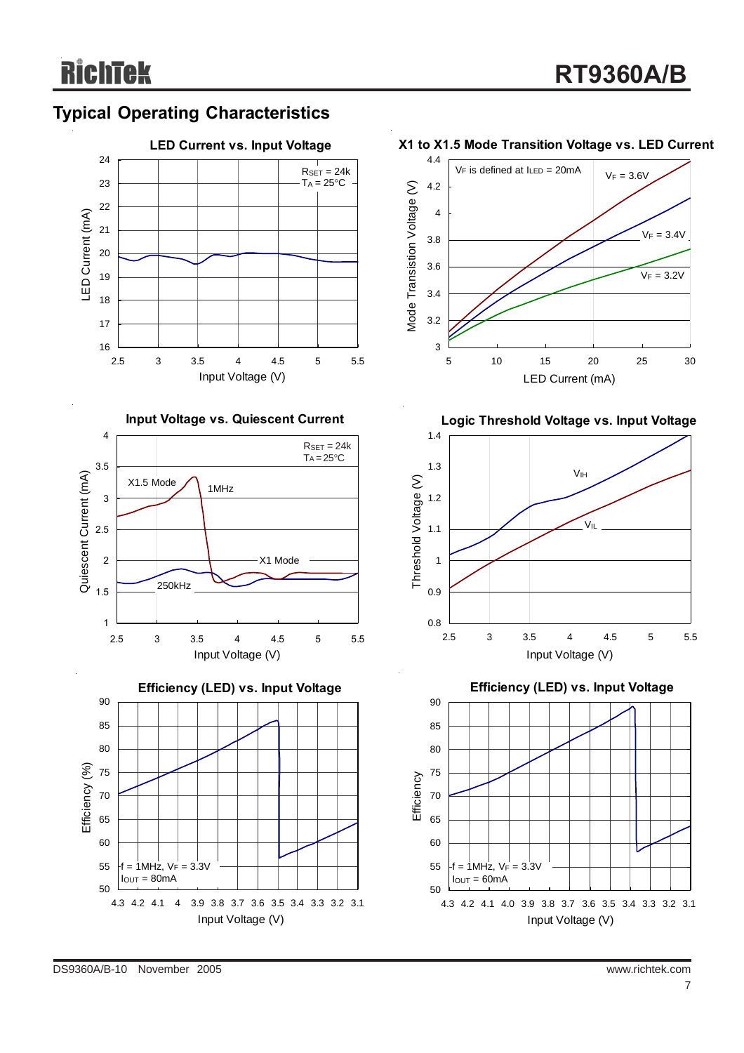















**Logic Threshold Voltage vs. Input Voltage**



**Efficiency (LED) vs. Input Voltage**

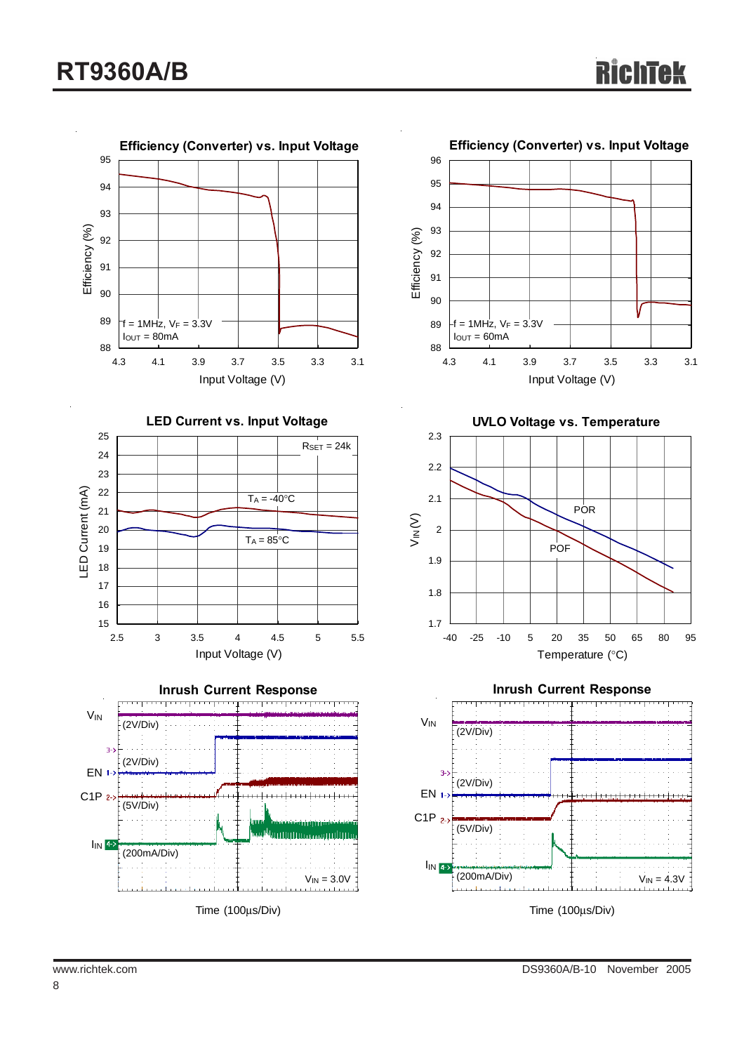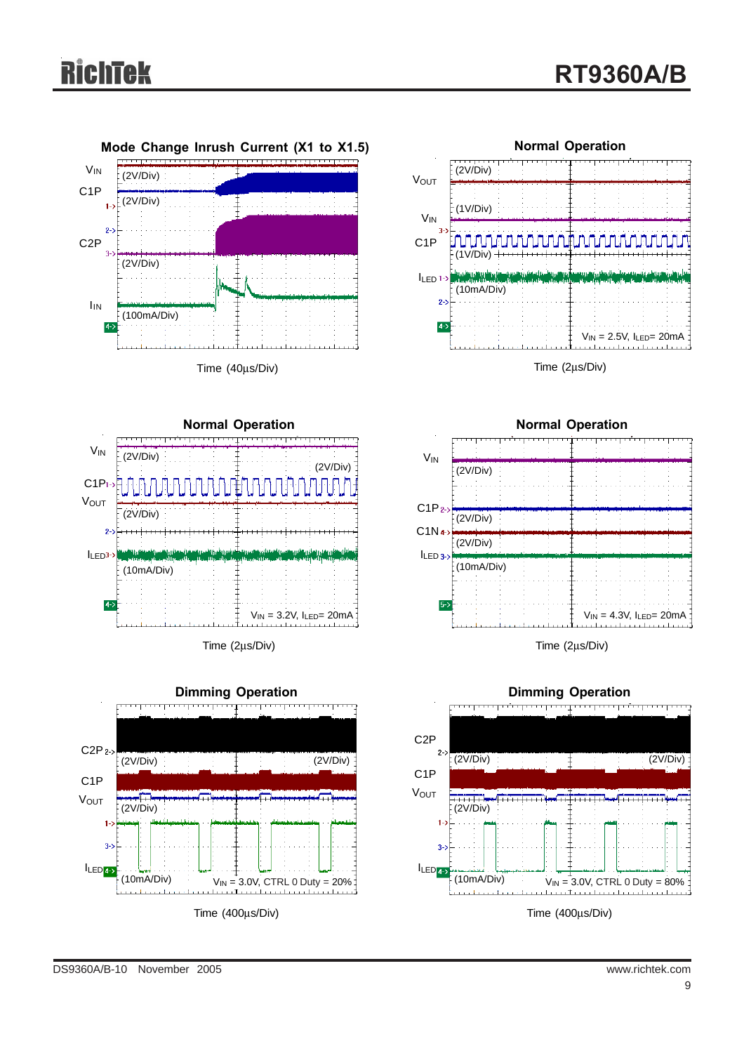



Time (2μs/Div)







Time (2μs/Div)

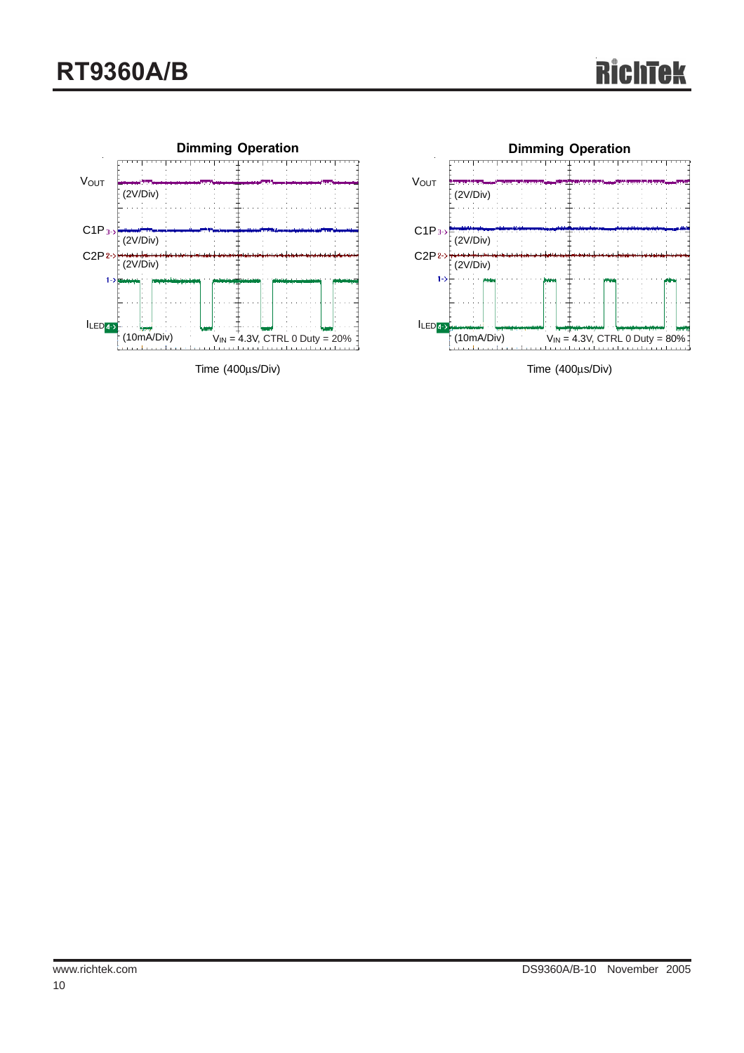



Time (400μs/Div)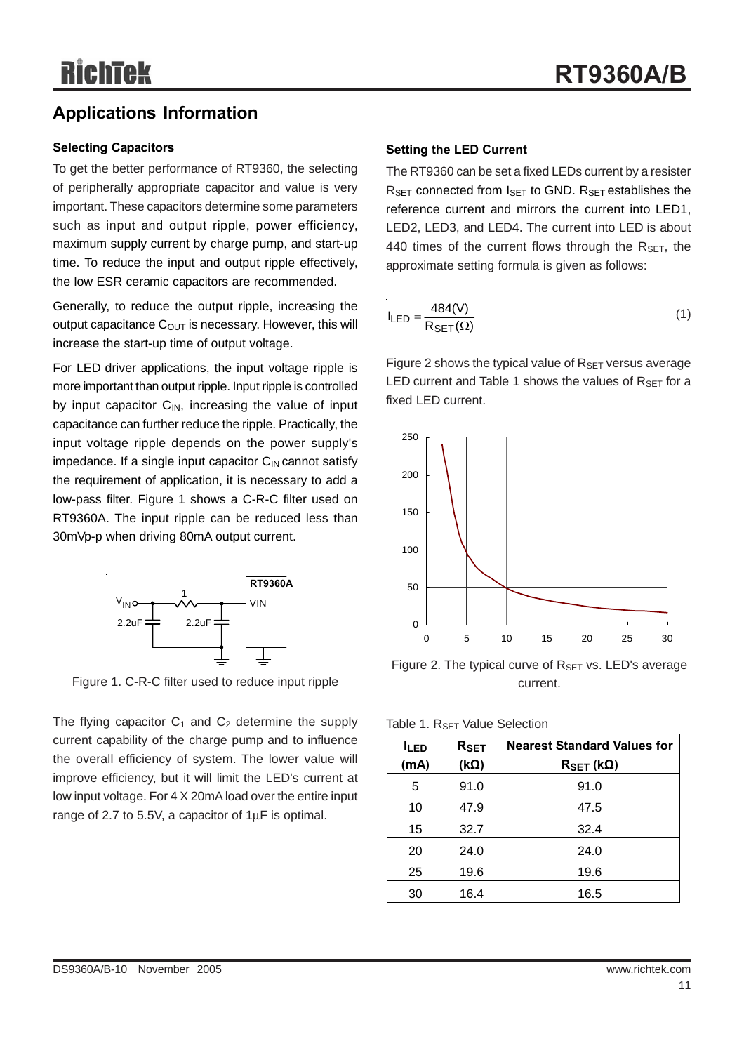### **Applications Information**

#### **Selecting Capacitors**

To get the better performance of RT9360, the selecting of peripherally appropriate capacitor and value is very important. These capacitors determine some parameters such as input and output ripple, power efficiency, maximum supply current by charge pump, and start-up time. To reduce the input and output ripple effectively, the low ESR ceramic capacitors are recommended.

Generally, to reduce the output ripple, increasing the output capacitance  $C_{\text{OUT}}$  is necessary. However, this will increase the start-up time of output voltage.

For LED driver applications, the input voltage ripple is more important than output ripple. Input ripple is controlled by input capacitor  $C_{IN}$ , increasing the value of input capacitance can further reduce the ripple. Practically, the input voltage ripple depends on the power supply's impedance. If a single input capacitor  $C_{\text{IN}}$  cannot satisfy the requirement of application, it is necessary to add a low-pass filter. Figure 1 shows a C-R-C filter used on RT9360A. The input ripple can be reduced less than 30mVp-p when driving 80mA output current.



Figure 1. C-R-C filter used to reduce input ripple

The flying capacitor  $C_1$  and  $C_2$  determine the supply current capability of the charge pump and to influence the overall efficiency of system. The lower value will improve efficiency, but it will limit the LED's current at low input voltage. For 4 X 20mA load over the entire input range of 2.7 to 5.5V, a capacitor of 1μF is optimal.

#### **Setting the LED Current**

The RT9360 can be set a fixed LEDs current by a resister  $R_{\text{SET}}$  connected from  $I_{\text{SET}}$  to GND.  $R_{\text{SET}}$  establishes the reference current and mirrors the current into LED1, LED2, LED3, and LED4. The current into LED is about 440 times of the current flows through the  $R_{\text{SET}}$ , the approximate setting formula is given as follows:

$$
I_{LED} = \frac{484(V)}{R_{SET}(\Omega)}\tag{1}
$$

Figure 2 shows the typical value of  $R_{\text{SET}}$  versus average LED current and Table 1 shows the values of  $R_{\text{SET}}$  for a fixed LED current.



Figure 2. The typical curve of  $R_{\text{SET}}$  vs. LED's average current.

|  |  |  | Table 1. R <sub>SET</sub> Value Selection |
|--|--|--|-------------------------------------------|
|--|--|--|-------------------------------------------|

| <b>ILED</b><br>(mA) | $R_{SET}$<br>$(k\Omega)$ | <b>Nearest Standard Values for</b><br>$R_{\sf SET}$ (kΩ) |
|---------------------|--------------------------|----------------------------------------------------------|
| 5                   | 91.0                     | 91.0                                                     |
| 10                  | 47.9                     | 47.5                                                     |
| 15                  | 32.7                     | 32.4                                                     |
| 20                  | 24.0                     | 24.0                                                     |
| 25                  | 19.6                     | 19.6                                                     |
| 30                  | 16.4                     | 16.5                                                     |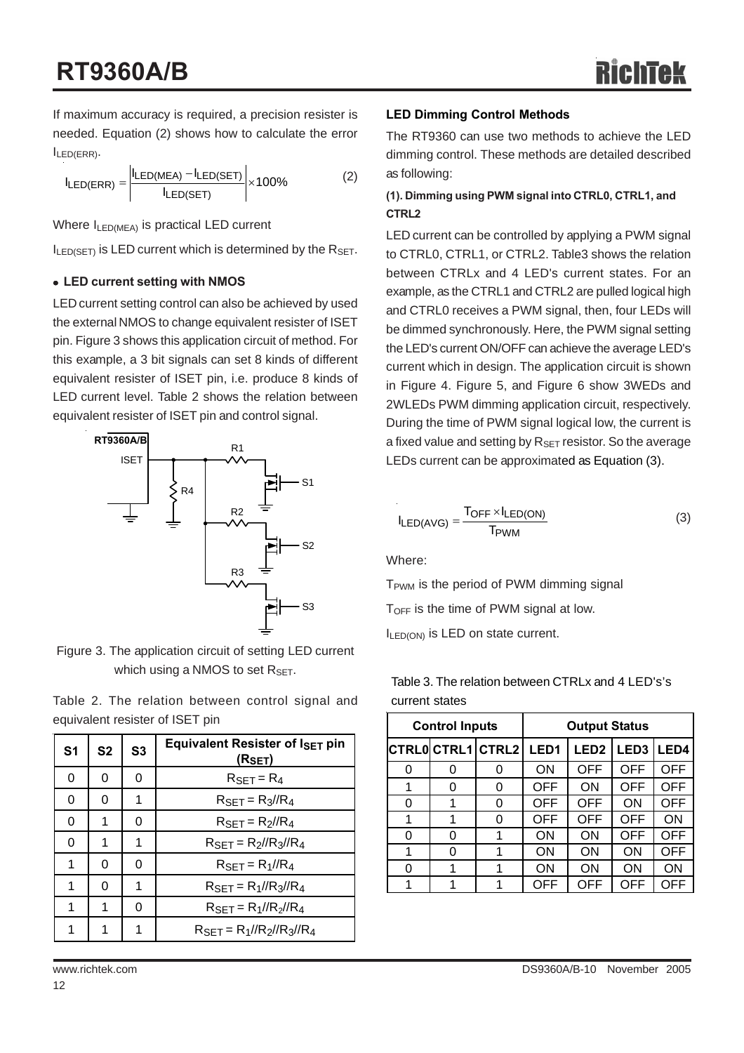## **RT9360A/B**

If maximum accuracy is required, a precision resister is needed. Equation (2) shows how to calculate the error ILED(ERR).

$$
I_{LED(ERR)} = \left| \frac{I_{LED(MEA)} - I_{LED(SET)}}{I_{LED(SET)}} \right| \times 100\% \tag{2}
$$

Where  $I_{LED(MEA)}$  is practical LED current

 $I_{LED(SET)}$  is LED current which is determined by the  $R_{SET}$ .

### <sup>z</sup> **LED current setting with NMOS**

LED current setting control can also be achieved by used the external NMOS to change equivalent resister of ISET pin. Figure 3 shows this application circuit of method. For this example, a 3 bit signals can set 8 kinds of different equivalent resister of ISET pin, i.e. produce 8 kinds of LED current level. Table 2 shows the relation between equivalent resister of ISET pin and control signal.



Figure 3. The application circuit of setting LED current which using a NMOS to set  $R_{\text{SFT}}$ .

Table 2. The relation between control signal and equivalent resister of ISET pin

| S <sub>1</sub> | S <sub>2</sub> | S <sub>3</sub> | Equivalent Resister of ISET pin<br>(R <sub>SET</sub> ) |  |  |
|----------------|----------------|----------------|--------------------------------------------------------|--|--|
| 0              | 0              | O              | $R_{\text{SET}} = R_4$                                 |  |  |
| 0              | 0              | 1              | $R_{\text{SET}} = R_3 / R_4$                           |  |  |
| 0              | 1              | 0              | $R_{\rm SFT} = R_2 / R_4$                              |  |  |
| 0              | 1              | 1              | $R_{\rm SET} = R_2 / R_3 / R_4$                        |  |  |
| 1              | 0              | O              | $R_{SFT} = R_1 / R_4$                                  |  |  |
| 1              | 0              | 1              | $R_{\rm SET} = R_1 / R_3 / R_4$                        |  |  |
| 1              | 1              | O              | $R_{\text{SET}} = R_1 / R_2 / R_4$                     |  |  |
|                | 1              |                | $R_{SFT} = R_1 / R_2 / R_3 / R_4$                      |  |  |

The RT9360 can use two methods to achieve the LED dimming control. These methods are detailed described as following:

### **(1). Dimming using PWM signal into CTRL0, CTRL1, and CTRL2**

LED current can be controlled by applying a PWM signal to CTRL0, CTRL1, or CTRL2. Table3 shows the relation between CTRLx and 4 LED's current states. For an example, as the CTRL1 and CTRL2 are pulled logical high and CTRL0 receives a PWM signal, then, four LEDs will be dimmed synchronously. Here, the PWM signal setting the LED's current ON/OFF can achieve the average LED's current which in design. The application circuit is shown in Figure 4. Figure 5, and Figure 6 show 3WEDs and 2WLEDs PWM dimming application circuit, respectively. During the time of PWM signal logical low, the current is a fixed value and setting by  $R_{\text{SET}}$  resistor. So the average LEDs current can be approximated as Equation (3).

$$
I_{LED(AVG)} = \frac{T_{OFF} \times I_{LED(ON)}}{T_{PWM}}
$$
 (3)

Where:

T<sub>PWM</sub> is the period of PWM dimming signal T<sub>OFF</sub> is the time of PWM signal at low. ILED(ON) is LED on state current.

| <b>Control Inputs</b> |   |                 | <b>Output Status</b>                              |            |            |            |
|-----------------------|---|-----------------|---------------------------------------------------|------------|------------|------------|
|                       |   | CTRLOCTRL1CTRL2 | LED3 LED4<br>LED <sub>2</sub><br>LED <sub>1</sub> |            |            |            |
| 0                     | 0 | 0               | ON                                                | <b>OFF</b> | <b>OFF</b> | <b>OFF</b> |
|                       | 0 | 0               | <b>OFF</b>                                        | ON         | <b>OFF</b> | <b>OFF</b> |
| 0                     |   | 0               | OFF                                               | <b>OFF</b> | ON         | OFF        |
|                       | 1 | 0               | <b>OFF</b>                                        | <b>OFF</b> | <b>OFF</b> | ON         |
| 0                     | 0 |                 | ON                                                | ON         | <b>OFF</b> | <b>OFF</b> |
|                       | 0 |                 | ON                                                | ON         | ON         | <b>OFF</b> |
| 0                     |   |                 | ON                                                | ON         | ON         | ON         |
|                       |   |                 | <b>OFF</b>                                        | <b>OFF</b> | <b>OFF</b> | <b>OFF</b> |

#### Table 3. The relation between CTRLx and 4 LED's's current states

12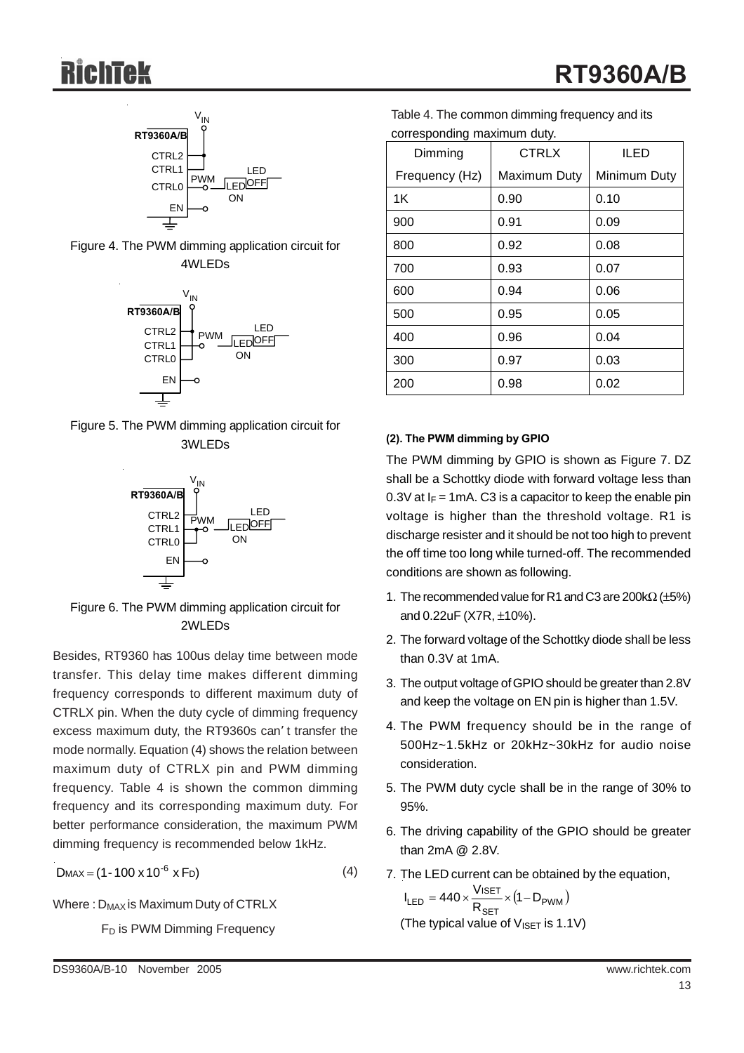









Figure 6. The PWM dimming application circuit for 2WLEDs

Besides, RT9360 has 100us delay time between mode transfer. This delay time makes different dimming frequency corresponds to different maximum duty of CTRLX pin. When the duty cycle of dimming frequency excess maximum duty, the RT9360s can' t transfer the mode normally. Equation (4) shows the relation between maximum duty of CTRLX pin and PWM dimming frequency. Table 4 is shown the common dimming frequency and its corresponding maximum duty. For better performance consideration, the maximum PWM dimming frequency is recommended below 1kHz.

 $DMAX = (1 - 100 \times 10^{-6} \times F_D)$  (4)

Where :  $D_{MAX}$  is Maximum Duty of CTRLX

F<sub>D</sub> is PWM Dimming Frequency

| Table 4. The common dimming frequency and its |
|-----------------------------------------------|
| corresponding maximum duty.                   |

| Dimming        | <b>CTRLX</b> | ILED         |
|----------------|--------------|--------------|
| Frequency (Hz) | Maximum Duty | Minimum Duty |
| 1K             | 0.90         | 0.10         |
| 900            | 0.91         | 0.09         |
| 800            | 0.92         | 0.08         |
| 700            | 0.93         | 0.07         |
| 600            | 0.94         | 0.06         |
| 500            | 0.95         | 0.05         |
| 400            | 0.96         | 0.04         |
| 300            | 0.97         | 0.03         |
| 200            | 0.98         | 0.02         |

#### **(2). The PWM dimming by GPIO**

The PWM dimming by GPIO is shown as Figure 7. DZ shall be a Schottky diode with forward voltage less than 0.3V at  $I_F$  = 1mA. C3 is a capacitor to keep the enable pin voltage is higher than the threshold voltage. R1 is discharge resister and it should be not too high to prevent the off time too long while turned-off. The recommended conditions are shown as following.

- 1. The recommended value for R1 and C3 are 200k $\Omega$  ( $\pm$ 5%) and 0.22uF (X7R, ±10%).
- 2. The forward voltage of the Schottky diode shall be less than 0.3V at 1mA.
- 3. The output voltage of GPIO should be greater than 2.8V and keep the voltage on EN pin is higher than 1.5V.
- 4. The PWM frequency should be in the range of 500Hz~1.5kHz or 20kHz~30kHz for audio noise consideration.
- 5. The PWM duty cycle shall be in the range of 30% to 95%.
- 6. The driving capability of the GPIO should be greater than 2mA @ 2.8V.

7. The LED current can be obtained by the equation,

(The typical value of  $V_{\text{ISET}}$  is 1.1V) <u>'<sup>3LT</sup> × (</u>1 – D<sub>PWM</sub> )<br>set  $I_{LED} = 440 \times \frac{V_{ISET}}{R_{SET}} \times (1 - D)$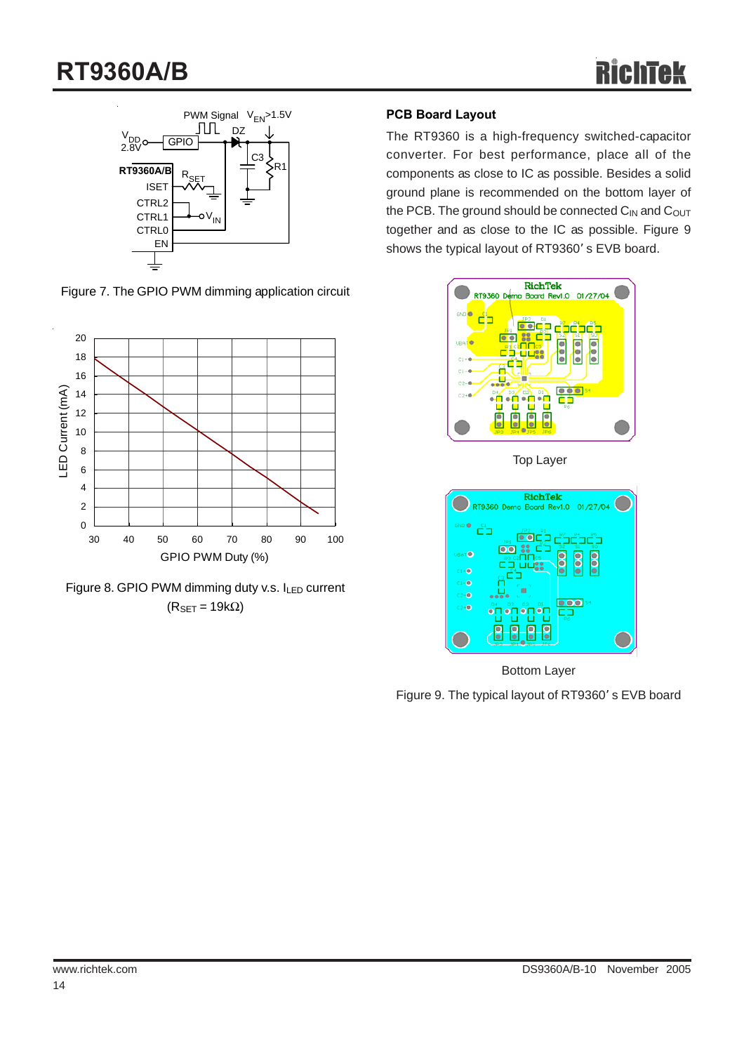## **RT9360A/B**



Figure 7. The GPIO PWM dimming application circuit





### **PCB Board Layout**

The RT9360 is a high-frequency switched-capacitor converter. For best performance, place all of the components as close to IC as possible. Besides a solid ground plane is recommended on the bottom layer of the PCB. The ground should be connected  $C_{IN}$  and  $C_{OUT}$ together and as close to the IC as possible. Figure 9 shows the typical layout of RT9360' s EVB board.



Top Layer



Bottom Layer

Figure 9. The typical layout of RT9360' s EVB board